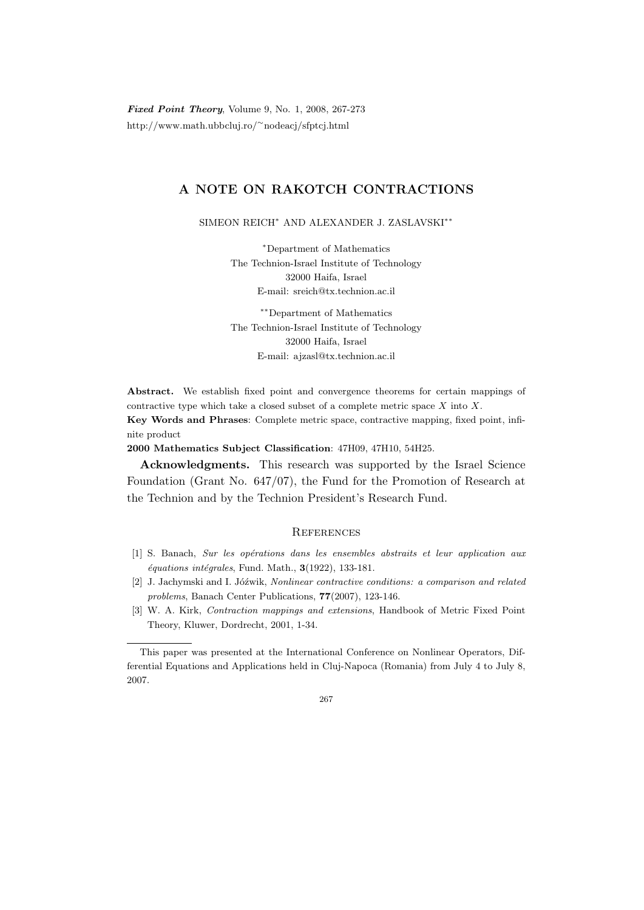Fixed Point Theory, Volume 9, No. 1, 2008, 267-273 http://www.math.ubbcluj.ro/<sup>∼</sup>nodeacj/sfptcj.html

## A NOTE ON RAKOTCH CONTRACTIONS

SIMEON REICH<sup>∗</sup> AND ALEXANDER J. ZASLAVSKI∗∗

<sup>∗</sup>Department of Mathematics The Technion-Israel Institute of Technology 32000 Haifa, Israel E-mail: sreich@tx.technion.ac.il

∗∗Department of Mathematics The Technion-Israel Institute of Technology 32000 Haifa, Israel E-mail: ajzasl@tx.technion.ac.il

Abstract. We establish fixed point and convergence theorems for certain mappings of contractive type which take a closed subset of a complete metric space  $X$  into  $X$ . Key Words and Phrases: Complete metric space, contractive mapping, fixed point, infinite product

2000 Mathematics Subject Classification: 47H09, 47H10, 54H25.

Acknowledgments. This research was supported by the Israel Science Foundation (Grant No. 647/07), the Fund for the Promotion of Research at the Technion and by the Technion President's Research Fund.

## **REFERENCES**

- [1] S. Banach, Sur les opérations dans les ensembles abstraits et leur application aux  $équations int{\'e}grales$ , Fund. Math.,  $3(1922)$ , 133-181.
- [2] J. Jachymski and I. Jóźwik, Nonlinear contractive conditions: a comparison and related problems, Banach Center Publications, 77(2007), 123-146.
- [3] W. A. Kirk, Contraction mappings and extensions, Handbook of Metric Fixed Point Theory, Kluwer, Dordrecht, 2001, 1-34.

This paper was presented at the International Conference on Nonlinear Operators, Differential Equations and Applications held in Cluj-Napoca (Romania) from July 4 to July 8, 2007.

<sup>267</sup>